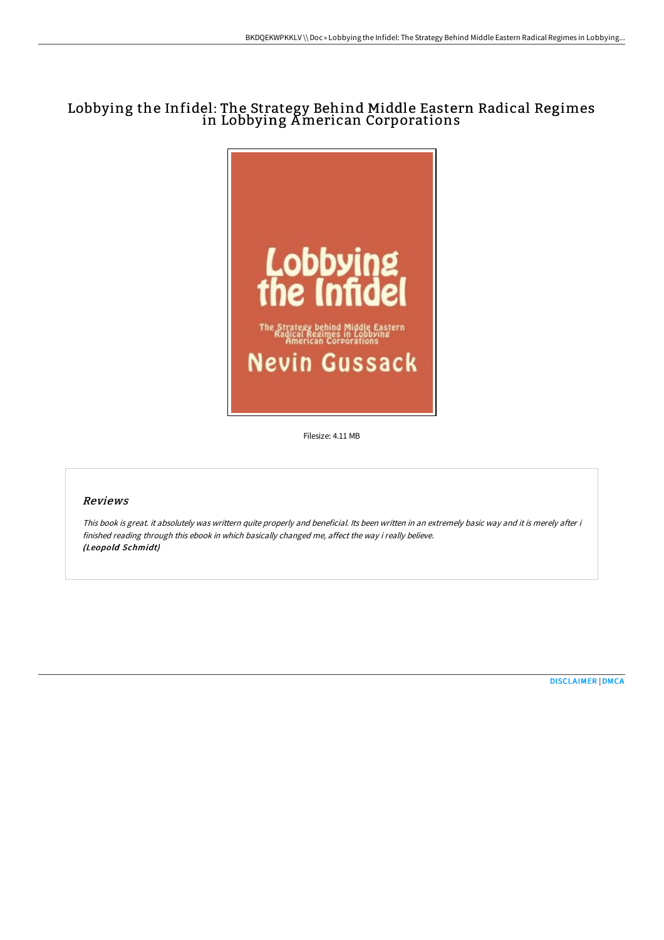# Lobbying the Infidel: The Strategy Behind Middle Eastern Radical Regimes in Lobbying American Corporations



Filesize: 4.11 MB

## Reviews

This book is great. it absolutely was writtern quite properly and beneficial. Its been written in an extremely basic way and it is merely after i finished reading through this ebook in which basically changed me, affect the way i really believe. (Leopold Schmidt)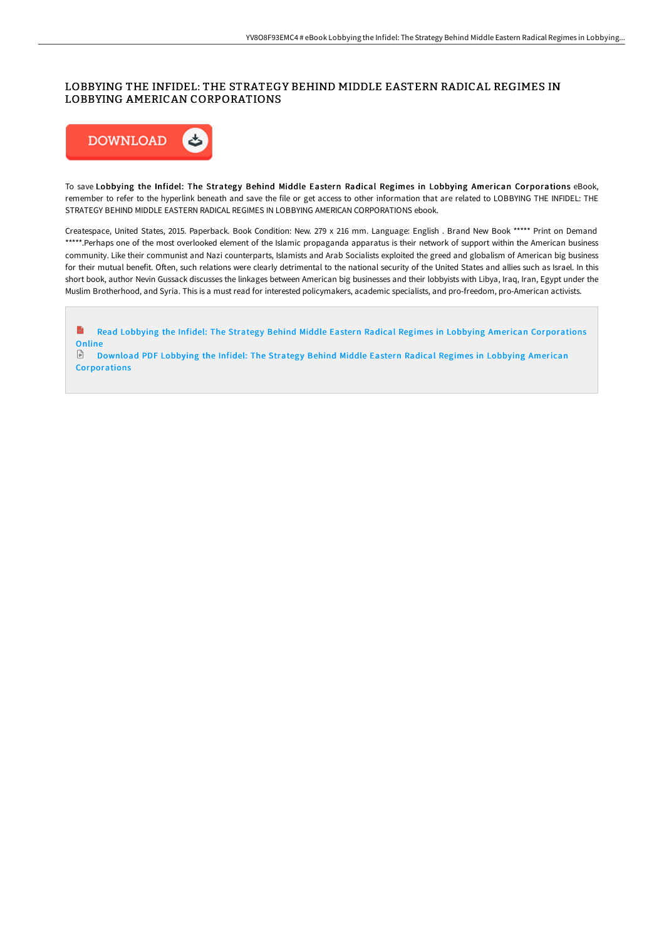## LOBBYING THE INFIDEL: THE STRATEGY BEHIND MIDDLE EASTERN RADICAL REGIMES IN LOBBYING AMERICAN CORPORATIONS



To save Lobbying the Infidel: The Strategy Behind Middle Eastern Radical Regimes in Lobbying American Corporations eBook, remember to refer to the hyperlink beneath and save the file or get access to other information that are related to LOBBYING THE INFIDEL: THE STRATEGY BEHIND MIDDLE EASTERN RADICAL REGIMES IN LOBBYING AMERICAN CORPORATIONS ebook.

Createspace, United States, 2015. Paperback. Book Condition: New. 279 x 216 mm. Language: English . Brand New Book \*\*\*\*\* Print on Demand \*\*\*\*\*.Perhaps one of the most overlooked element of the Islamic propaganda apparatus is their network of support within the American business community. Like their communist and Nazi counterparts, Islamists and Arab Socialists exploited the greed and globalism of American big business for their mutual benefit. Often, such relations were clearly detrimental to the national security of the United States and allies such as Israel. In this short book, author Nevin Gussack discusses the linkages between American big businesses and their lobbyists with Libya, Iraq, Iran, Egypt under the Muslim Brotherhood, and Syria. This is a must read for interested policymakers, academic specialists, and pro-freedom, pro-American activists.

B Read Lobbying the Infidel: The Strategy Behind Middle Eastern Radical Regimes in Lobbying American [Corporations](http://techno-pub.tech/lobbying-the-infidel-the-strategy-behind-middle-.html) **Online** Download PDF Lobbying the Infidel: The Strategy Behind Middle Eastern Radical Regimes in Lobbying American **[Corporations](http://techno-pub.tech/lobbying-the-infidel-the-strategy-behind-middle-.html)**